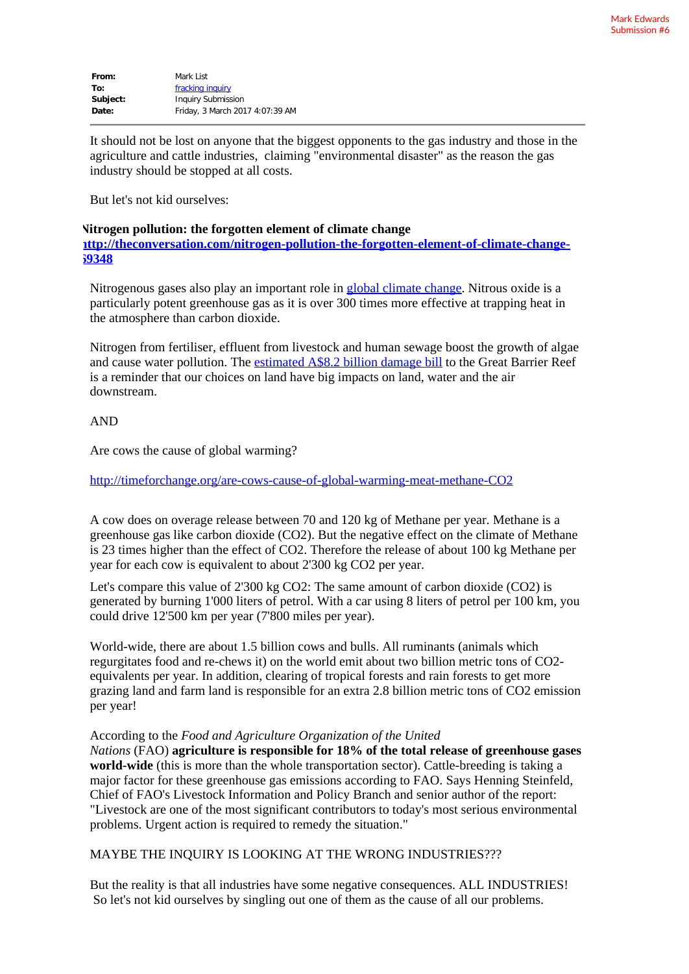| From:    | Mark List                       |
|----------|---------------------------------|
| To:      | fracking inquiry                |
| Subject: | <b>Inquiry Submission</b>       |
| Date:    | Friday, 3 March 2017 4:07:39 AM |

It should not be lost on anyone that the biggest opponents to the gas industry and those in the agriculture and cattle industries, claiming "environmental disaster" as the reason the gas industry should be stopped at all costs.

But let's not kid ourselves:

## **Nitrogen pollution: the forgotten element of climate change**

**[http://theconversation.com/nitrogen-pollution-the-forgotten-element-of-climate-change-](http://theconversation.com/nitrogen-pollution-the-forgotten-element-of-climate-change-69348)[69348](http://theconversation.com/nitrogen-pollution-the-forgotten-element-of-climate-change-69348)**

Nitrogenous gases also play an important role in [global climate change](http://www.unep.org/yearbook/2014/PDF/chapt1.pdf). Nitrous oxide is a particularly potent greenhouse gas as it is over 300 times more effective at trapping heat in the atmosphere than carbon dioxide.

Nitrogen from fertiliser, effluent from livestock and human sewage boost the growth of algae and cause water pollution. The [estimated A\\$8.2 billion damage bill](https://theconversation.com/the-8-2-billion-water-bill-to-clean-up-the-barrier-reef-by-2025-and-where-to-start-62685) to the Great Barrier Reef is a reminder that our choices on land have big impacts on land, water and the air downstream.

## AND

Are cows the cause of global warming?

<http://timeforchange.org/are-cows-cause-of-global-warming-meat-methane-CO2>

A cow does on overage release between 70 and 120 kg of Methane per year. Methane is a greenhouse gas like carbon dioxide (CO2). But the negative effect on the climate of Methane is 23 times higher than the effect of CO2. Therefore the release of about 100 kg Methane per year for each cow is equivalent to about 2'300 kg CO2 per year.

Let's compare this value of 2'300 kg CO2: The same amount of carbon dioxide (CO2) is generated by burning 1'000 liters of petrol. With a car using 8 liters of petrol per 100 km, you could drive 12'500 km per year (7'800 miles per year).

World-wide, there are about 1.5 billion cows and bulls. All ruminants (animals which regurgitates food and re-chews it) on the world emit about two billion metric tons of CO2 equivalents per year. In addition, clearing of tropical forests and rain forests to get more grazing land and farm land is responsible for an extra 2.8 billion metric tons of CO2 emission per year!

## According to the *Food and Agriculture Organization of the United*

*Nations* (FAO) **agriculture is responsible for 18% of the total release of greenhouse gases world-wide** (this is more than the whole transportation sector). Cattle-breeding is taking a major factor for these greenhouse gas emissions according to FAO. Says Henning Steinfeld, Chief of FAO's Livestock Information and Policy Branch and senior author of the report: "Livestock are one of the most significant contributors to today's most serious environmental problems. Urgent action is required to remedy the situation."

## MAYBE THE INQUIRY IS LOOKING AT THE WRONG INDUSTRIES???

But the reality is that all industries have some negative consequences. ALL INDUSTRIES! So let's not kid ourselves by singling out one of them as the cause of all our problems.